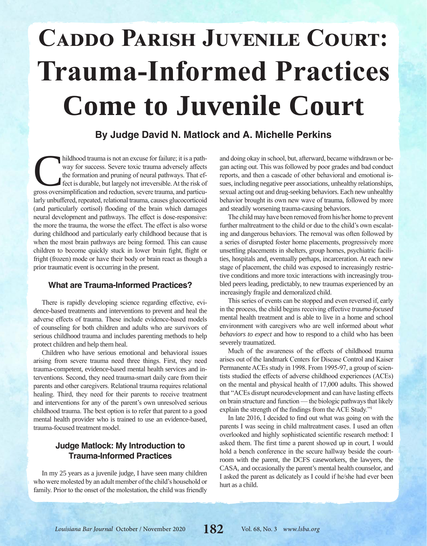# **Caddo Parish Juvenile Court: Trauma-Informed Practices Come to Juvenile Court**

### **By Judge David N. Matlock and A. Michelle Perkins**

hildhood trauma is not an excuse for failure; it is a path-<br>way for success. Severe toxic trauma adversely affects<br>the formation and pruning of neural pathways. That ef-<br>fect is durable, but largely not irreversible. At th way for success. Severe toxic trauma adversely affects the formation and pruning of neural pathways. That effect is durable, but largely not irreversible. At the risk of larly unbuffered, repeated, relational trauma, causes glucocorticoid (and particularly cortisol) flooding of the brain which damages neural development and pathways. The effect is dose-responsive: the more the trauma, the worse the effect. The effect is also worse during childhood and particularly early childhood because that is when the most brain pathways are being formed. This can cause children to become quickly stuck in lower brain fight, flight or fright (frozen) mode or have their body or brain react as though a prior traumatic event is occurring in the present.

### **What are Trauma-Informed Practices?**

There is rapidly developing science regarding effective, evidence-based treatments and interventions to prevent and heal the adverse effects of trauma. These include evidence-based models of counseling for both children and adults who are survivors of serious childhood trauma and includes parenting methods to help protect children and help them heal.

Children who have serious emotional and behavioral issues arising from severe trauma need three things. First, they need trauma-competent, evidence-based mental health services and interventions. Second, they need trauma-smart daily care from their parents and other caregivers. Relational trauma requires relational healing. Third, they need for their parents to receive treatment and interventions for any of the parent's own unresolved serious childhood trauma. The best option is to refer that parent to a good mental health provider who is trained to use an evidence-based, trauma-focused treatment model.

### **Judge Matlock: My Introduction to Trauma-Informed Practices**

In my 25 years as a juvenile judge, I have seen many children who were molested by an adult member of the child's household or family. Prior to the onset of the molestation, the child was friendly and doing okay in school, but, afterward, became withdrawn or began acting out. This was followed by poor grades and bad conduct reports, and then a cascade of other behavioral and emotional issues, including negative peer associations, unhealthy relationships, sexual acting out and drug-seeking behaviors. Each new unhealthy behavior brought its own new wave of trauma, followed by more and steadily worsening trauma-causing behaviors.

The child may have been removed from his/her home to prevent further maltreatment to the child or due to the child's own escalating and dangerous behaviors. The removal was often followed by a series of disrupted foster home placements, progressively more unsettling placements in shelters, group homes, psychiatric facilities, hospitals and, eventually perhaps, incarceration. At each new stage of placement, the child was exposed to increasingly restrictive conditions and more toxic interactions with increasingly troubled peers leading, predictably, to new traumas experienced by an increasingly fragile and demoralized child.

This series of events can be stopped and even reversed if, early in the process, the child begins receiving effective *trauma-focused* mental health treatment and is able to live in a home and school environment with caregivers who are well informed about *what behaviors to expect* and how to respond to a child who has been severely traumatized.

Much of the awareness of the effects of childhood trauma arises out of the landmark Centers for Disease Control and Kaiser Permanente ACEs study in 1998. From 1995-97, a group of scientists studied the effects of adverse childhood experiences (ACEs) on the mental and physical health of 17,000 adults. This showed that "ACEs disrupt neurodevelopment and can have lasting effects on brain structure and function — the biologic pathways that likely explain the strength of the findings from the ACE Study."<sup>1</sup>

In late 2016, I decided to find out what was going on with the parents I was seeing in child maltreatment cases. I used an often overlooked and highly sophisticated scientific research method: I asked them. The first time a parent showed up in court, I would hold a bench conference in the secure hallway beside the courtroom with the parent, the DCFS caseworkers, the lawyers, the CASA, and occasionally the parent's mental health counselor, and I asked the parent as delicately as I could if he/she had ever been hurt as a child.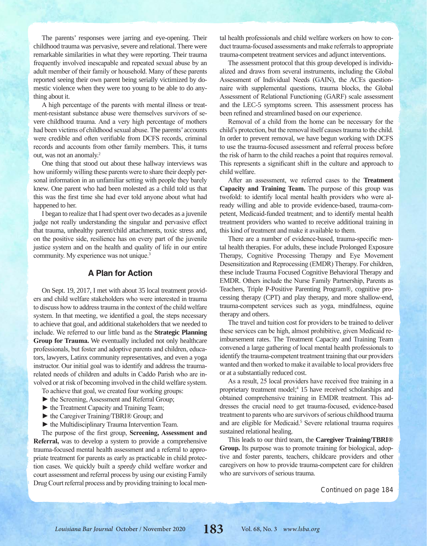The parents' responses were jarring and eye-opening. Their childhood trauma was pervasive, severe and relational. There were remarkable similarities in what they were reporting. Their trauma frequently involved inescapable and repeated sexual abuse by an adult member of their family or household. Many of these parents reported seeing their own parent being serially victimized by domestic violence when they were too young to be able to do anything about it.

A high percentage of the parents with mental illness or treatment-resistant substance abuse were themselves survivors of severe childhood trauma. And a very high percentage of mothers had been victims of childhood sexual abuse. The parents' accounts were credible and often verifiable from DCFS records, criminal records and accounts from other family members. This, it turns out, was not an anomaly.2

One thing that stood out about these hallway interviews was how uniformly willing these parents were to share their deeply personal information in an unfamiliar setting with people they barely knew. One parent who had been molested as a child told us that this was the first time she had ever told anyone about what had happened to her.

I began to realize that I had spent over two decades as a juvenile judge not really understanding the singular and pervasive effect that trauma, unhealthy parent/child attachments, toxic stress and, on the positive side, resilience has on every part of the juvenile justice system and on the health and quality of life in our entire community. My experience was not unique.<sup>3</sup>

### **A Plan for Action**

On Sept. 19, 2017, I met with about 35 local treatment providers and child welfare stakeholders who were interested in trauma to discuss how to address trauma in the context of the child welfare system. In that meeting, we identified a goal, the steps necessary to achieve that goal, and additional stakeholders that we needed to include. We referred to our little band as the **Strategic Planning Group for Trauma.** We eventually included not only healthcare professionals, but foster and adoptive parents and children, educators, lawyers, Latinx community representatives, and even a yoga instructor. Our initial goal was to identify and address the traumarelated needs of children and adults in Caddo Parish who are involved or at risk of becoming involved in the child welfare system.

- To achieve that goal, we created four working groups:
- ► the Screening, Assessment and Referral Group;
- ► the Treatment Capacity and Training Team;
- ► the Caregiver Training/TBRI® Group; and
- ► the Multidisciplinary Trauma Intervention Team.

The purpose of the first group, **Screening, Assessment and Referral,** was to develop a system to provide a comprehensive trauma-focused mental health assessment and a referral to appropriate treatment for parents as early as practicable in child protection cases. We quickly built a *speedy* child welfare worker and court assessment and referral process by using our existing Family Drug Court referral process and by providing training to local mental health professionals and child welfare workers on how to conduct trauma-focused assessments and make referrals to appropriate trauma-competent treatment services and adjunct interventions.

The assessment protocol that this group developed is individualized and draws from several instruments, including the Global Assessment of Individual Needs (GAIN), the ACEs questionnaire with supplemental questions, trauma blocks, the Global Assessment of Relational Functioning (GARF) scale assessment and the LEC-5 symptoms screen. This assessment process has been refined and streamlined based on our experience.

Removal of a child from the home can be necessary for the child's protection, but the removal itself causes trauma to the child. In order to prevent removal, we have begun working with DCFS to use the trauma-focused assessment and referral process before the risk of harm to the child reaches a point that requires removal. This represents a significant shift in the culture and approach to child welfare.

After an assessment, we referred cases to the **Treatment Capacity and Training Team.** The purpose of this group was twofold: to identify local mental health providers who were already willing and able to provide evidence-based, trauma-competent, Medicaid-funded treatment; and to identify mental health treatment providers who wanted to receive additional training in this kind of treatment and make it available to them.

There are a number of evidence-based, trauma-specific mental health therapies. For adults, these include Prolonged Exposure Therapy, Cognitive Processing Therapy and Eye Movement Desensitization and Reprocessing (EMDR) Therapy. For children, these include Trauma Focused Cognitive Behavioral Therapy and EMDR. Others include the Nurse Family Partnership, Parents as Teachers, Triple P-Positive Parenting Program®, cognitive processing therapy (CPT) and play therapy, and more shallow-end, trauma-competent services such as yoga, mindfulness, equine therapy and others.

The travel and tuition cost for providers to be trained to deliver these services can be high, almost prohibitive, given Medicaid reimbursement rates. The Treatment Capacity and Training Team convened a large gathering of local mental health professionals to identify the trauma-competent treatment training that our providers wanted and then worked to make it available to local providers free or at a substantially reduced cost.

As a result, 25 local providers have received free training in a proprietary treatment model;<sup>4</sup> 15 have received scholarships and obtained comprehensive training in EMDR treatment. This addresses the crucial need to get trauma-focused, evidence-based treatment to parents who are survivors of serious childhood trauma and are eligible for Medicaid.<sup>5</sup> Severe relational trauma requires sustained relational healing.

This leads to our third team, the **Caregiver Training/TBRI® Group.** Its purpose was to promote training for biological, adoptive and foster parents, teachers, childcare providers and other caregivers on how to provide trauma-competent care for children who are survivors of serious trauma.

Continued on page 184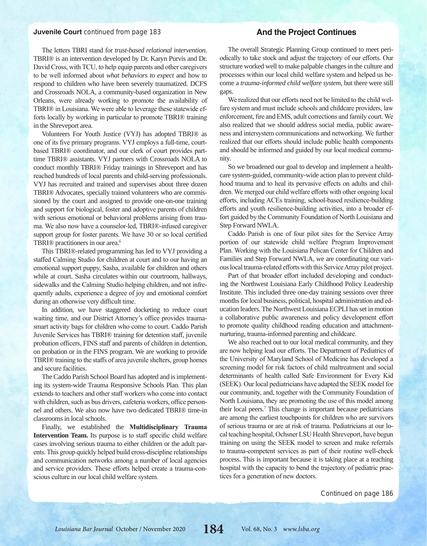#### **Juvenile Court** continued from page 183

### **And the Project Continues**

The letters TBRI stand for *trust-based relational intervention*. TBRI® is an intervention developed by Dr. Karyn Purvis and Dr. David Cross, with TCU, to help equip parents and other caregivers to be well informed about *what behaviors to expect* and how to respond to children who have been severely traumatized. DCFS and Crossroads NOLA, a community-based organization in New Orleans, were already working to promote the availability of TBRI® in Louisiana. We were able to leverage these statewide efforts locally by working in particular to promote TBRI® training in the Shreveport area.

Volunteers For Youth Justice (VYJ) has adopted TBRI® as one of its five primary programs. VYJ employs a full-time, courtbased TBRI® coordinator, and our clerk of court provides parttime TBRI® assistants. VYJ partners with Crossroads NOLA to conduct monthly TBRI® Friday trainings in Shreveport and has reached hundreds of local parents and child-serving professionals. VYJ has recruited and trained and supervises about three dozen TBRI® Advocates, specially trained volunteers who are commissioned by the court and assigned to provide one-on-one training and support for biological, foster and adoptive parents of children with serious emotional or behavioral problems arising from trauma. We also now have a counselor-led, TBRI®-infused caregiver support group for foster parents. We have 30 or so local certified TBRI<sup>®</sup> practitioners in our area.<sup>6</sup>

This TBRI®-related programming has led to VYJ providing a staffed Calming Studio for children at court and to our having an emotional support puppy, Sasha, available for children and others while at court. Sasha circulates within our courtroom, hallways, sidewalks and the Calming Studio helping children, and not infrequently adults, experience a degree of joy and emotional comfort during an otherwise very difficult time.

In addition, we have staggered docketing to reduce court waiting time, and our District Attorney's office provides traumasmart activity bags for children who come to court. Caddo Parish Juvenile Services has TBRI® training for detention staff, juvenile probation officers, FINS staff and parents of children in detention, on probation or in the FINS program. We are working to provide TBRI® training to the staffs of area juvenile shelters, group homes and secure facilities.

The Caddo Parish School Board has adopted and is implementing its system-wide Trauma Responsive Schools Plan. This plan extends to teachers and other staff workers who come into contact with children, such as bus drivers, cafeteria workers, office personnel and others. We also now have two dedicated TBRI® time-in classrooms in local schools.

Finally, we established the **Multidisciplinary Trauma Intervention Team.** Its purpose is to staff specific child welfare cases involving serious trauma to either children or the adult parents. This group quickly helped build cross-discipline relationships and communication networks among a number of local agencies and service providers. These efforts helped create a trauma-conscious culture in our local child welfare system.

The overall Strategic Planning Group continued to meet periodically to take stock and adjust the trajectory of our efforts. Our structure worked well to make palpable changes in the culture and processes within our local child welfare system and helped us become a *trauma-informed child welfare system*, but there were still gaps.

We realized that our efforts need not be limited to the child welfare system and must include schools and childcare providers, law enforcement, fire and EMS, adult corrections and family court. We also realized that we should address social media, public awareness and intersystem communications and networking. We further realized that our efforts should include public health components and should be informed and guided by our local medical community.

So we broadened our goal to develop and implement a healthcare system-guided, community-wide action plan to prevent childhood trauma and to heal its pervasive effects on adults and children. We merged our child welfare efforts with other ongoing local efforts, including ACEs training, school-based resilience-building efforts and youth resilience-building activities, into a broader effort guided by the Community Foundation of North Louisiana and Step Forward NWLA.

Caddo Parish is one of four pilot sites for the Service Array portion of our statewide child welfare Program Improvement Plan. Working with the Louisiana Pelican Center for Children and Families and Step Forward NWLA, we are coordinating our various local trauma-related efforts with this Service Array pilot project.

Part of that broader effort included developing and conducting the Northwest Louisiana Early Childhood Policy Leadership Institute. This included three one-day training sessions over three months for local business, political, hospital administration and education leaders. The Northwest Louisiana ECPLI has set in motion a collaborative public awareness and policy development effort to promote quality childhood reading education and attachmentnurturing, trauma-informed parenting and childcare.

We also reached out to our local medical community, and they are now helping lead our efforts. The Department of Pediatrics of the University of Maryland School of Medicine has developed a screening model for risk factors of child maltreatment and social determinants of health called Safe Environment for Every Kid (SEEK). Our local pediatricians have adapted the SEEK model for our community, and, together with the Community Foundation of North Louisiana, they are promoting the use of this model among their local peers.7 This change is important because pediatricians are among the earliest touchpoints for children who are survivors of serious trauma or are at risk of trauma. Pediatricians at our local teaching hospital, Ochsner LSU Health Shreveport, have begun training on using the SEEK model to screen and make referrals to trauma-competent services as part of their routine well-check process. This is important because it is taking place at a teaching hospital with the capacity to bend the trajectory of pediatric practices for a generation of new doctors.

Continued on page 186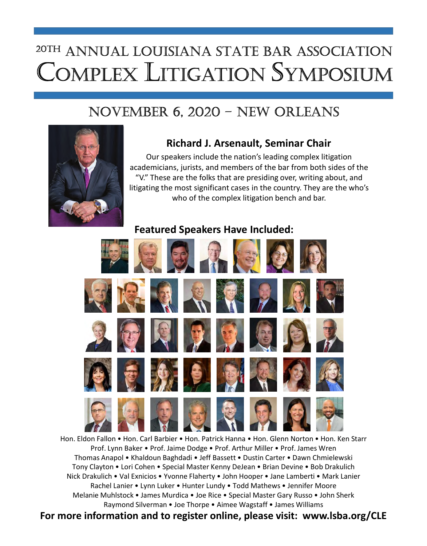# Complex litigation SympoSium 20th annual louiSiana State BaR aSSoCiation

### novemBeR 6, 2020 – new oRleanS



### Richard J. Arsenault, Seminar Chair

Our speakers include the nation's leading complex litigation academicians, jurists, and members of the bar from both sides of the "V." These are the folks that are presiding over, writing about, and litigating the most significant cases in the country. They are the who's who of the complex litigation bench and bar.

### Featured Speakers Have Included:



Hon. Eldon Fallon • Hon. Carl Barbier • Hon. Patrick Hanna • Hon. Glenn Norton • Hon. Ken Starr Prof. Lynn Baker • Prof. Jaime Dodge • Prof. Arthur Miller • Prof. James Wren Thomas Anapol • Khaldoun Baghdadi • Jeff Bassett • Dustin Carter • Dawn Chmielewski Tony Clayton • Lori Cohen • Special Master Kenny DeJean • Brian Devine • Bob Drakulich Nick Drakulich • Val Exnicios • Yvonne Flaherty • John Hooper • Jane Lamberti • Mark Lanier Rachel Lanier • Lynn Luker • Hunter Lundy • Todd Mathews • Jennifer Moore Melanie Muhlstock • James Murdica • Joe Rice • Special Master Gary Russo • John Sherk Raymond Silverman • Joe Thorpe • Aimee Wagstaff • James Williams

For more information and to register online, please visit: www.lsba.org/CLE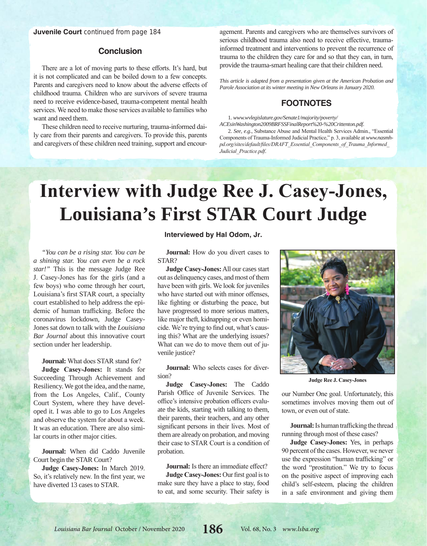### **Conclusion**

There are a lot of moving parts to these efforts. It's hard, but it is not complicated and can be boiled down to a few concepts. Parents and caregivers need to know about the adverse effects of childhood trauma. Children who are survivors of severe trauma need to receive evidence-based, trauma-competent mental health services. We need to make those services available to families who want and need them.

These children need to receive nurturing, trauma-informed daily care from their parents and caregivers. To provide this, parents and caregivers of these children need training, support and encouragement. Parents and caregivers who are themselves survivors of serious childhood trauma also need to receive effective, traumainformed treatment and interventions to prevent the recurrence of trauma to the children they care for and so that they can, in turn, provide the trauma-smart healing care that their children need.

*This article is adapted from a presentation given at the American Probation and Parole Association at its winter meeting in New Orleans in January 2020.*

### **FOOTNOTES**

1. *www.wvlegislature.gov/Senate1/majority/poverty/ ACEsinWashington2009BRFSSFinalReport%20-%20Crittenton.pdf*.

2. *See, e.g.*, Substance Abuse and Mental Health Services Admin., "Essential Components of Trauma-Informed Judicial Practice," p. 3, available at *www.nasmhpd.org/sites/default/files/DRAFT\_Essential\_Components\_of\_Trauma\_Informed\_ Judicial\_Practice.pdf*.

## **Interview with Judge Ree J. Casey-Jones, Louisiana's First STAR Court Judge**

*"You can be a rising star. You can be a shining star. You can even be a rock star!"* This is the message Judge Ree J. Casey-Jones has for the girls (and a few boys) who come through her court, Louisiana's first STAR court, a specialty court established to help address the epidemic of human trafficking. Before the coronavirus lockdown, Judge Casey-Jones sat down to talk with the *Louisiana Bar Journal* about this innovative court section under her leadership.

**Journal:** What does STAR stand for?

**Judge Casey-Jones:** It stands for Succeeding Through Achievement and Resiliency. We got the idea, and the name, from the Los Angeles, Calif., County Court System, where they have developed it. I was able to go to Los Angeles and observe the system for about a week. It was an education. There are also similar courts in other major cities.

**Journal:** When did Caddo Juvenile Court begin the STAR Court?

**Judge Casey-Jones:** In March 2019. So, it's relatively new. In the first year, we have diverted 13 cases to STAR.

### **Interviewed by Hal Odom, Jr.**

**Journal:** How do you divert cases to STAR?

**Judge Casey-Jones:** All our cases start out as delinquency cases, and most of them have been with girls. We look for juveniles who have started out with minor offenses, like fighting or disturbing the peace, but have progressed to more serious matters, like major theft, kidnapping or even homicide. We're trying to find out, what's causing this? What are the underlying issues? What can we do to move them out of juvenile justice?

**Journal:** Who selects cases for diversion?

**Judge Casey-Jones:** The Caddo Parish Office of Juvenile Services. The office's intensive probation officers evaluate the kids, starting with talking to them, their parents, their teachers, and any other significant persons in their lives. Most of them are already on probation, and moving their case to STAR Court is a condition of probation.

**Journal:** Is there an immediate effect? **Judge Casey-Jones:** Our first goal is to make sure they have a place to stay, food to eat, and some security. Their safety is



**Judge Ree J. Casey-Jones**

our Number One goal. Unfortunately, this sometimes involves moving them out of town, or even out of state.

**Journal:** Is human trafficking the thread running through most of these cases?

**Judge Casey-Jones:** Yes, in perhaps 90 percent of the cases. However, we never use the expression "human trafficking" or the word "prostitution." We try to focus on the positive aspect of improving each child's self-esteem, placing the children in a safe environment and giving them